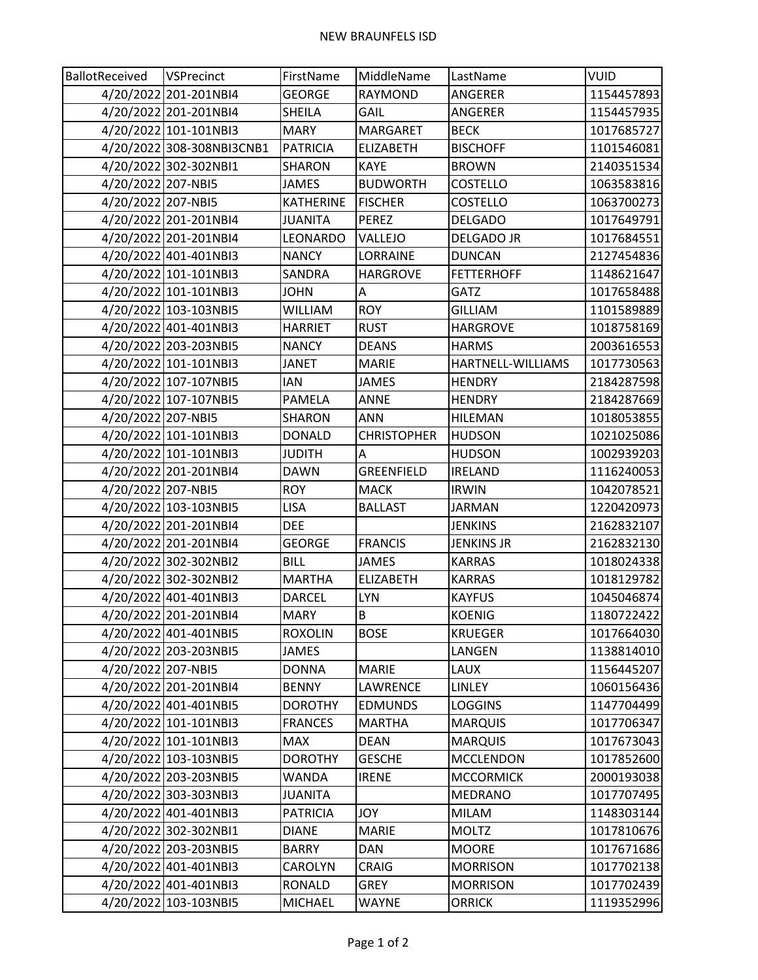| BallotReceived     | VSPrecinct                | FirstName        | MiddleName         | LastName          | VUID       |
|--------------------|---------------------------|------------------|--------------------|-------------------|------------|
|                    | 4/20/2022 201-201NBI4     | <b>GEORGE</b>    | <b>RAYMOND</b>     | ANGERER           | 1154457893 |
|                    | 4/20/2022 201-201NBI4     | <b>SHEILA</b>    | GAIL               | ANGERER           | 1154457935 |
|                    | 4/20/2022 101-101NBI3     | <b>MARY</b>      | MARGARET           | <b>BECK</b>       | 1017685727 |
|                    | 4/20/2022 308-308NBI3CNB1 | <b>PATRICIA</b>  | <b>ELIZABETH</b>   | <b>BISCHOFF</b>   | 1101546081 |
|                    | 4/20/2022 302-302NBI1     | <b>SHARON</b>    | <b>KAYE</b>        | <b>BROWN</b>      | 2140351534 |
| 4/20/2022 207-NBI5 |                           | <b>JAMES</b>     | <b>BUDWORTH</b>    | <b>COSTELLO</b>   | 1063583816 |
| 4/20/2022 207-NBI5 |                           | <b>KATHERINE</b> | <b>FISCHER</b>     | <b>COSTELLO</b>   | 1063700273 |
|                    | 4/20/2022 201-201NBI4     | <b>JUANITA</b>   | <b>PEREZ</b>       | <b>DELGADO</b>    | 1017649791 |
|                    | 4/20/2022 201-201NBI4     | LEONARDO         | VALLEJO            | <b>DELGADO JR</b> | 1017684551 |
|                    | 4/20/2022 401-401NBI3     | <b>NANCY</b>     | LORRAINE           | <b>DUNCAN</b>     | 2127454836 |
|                    | 4/20/2022 101-101NBI3     | SANDRA           | <b>HARGROVE</b>    | <b>FETTERHOFF</b> | 1148621647 |
|                    | 4/20/2022 101-101NBI3     | <b>JOHN</b>      | A                  | <b>GATZ</b>       | 1017658488 |
|                    | 4/20/2022 103-103NBI5     | <b>WILLIAM</b>   | <b>ROY</b>         | <b>GILLIAM</b>    | 1101589889 |
|                    | 4/20/2022 401-401NBI3     | <b>HARRIET</b>   | <b>RUST</b>        | <b>HARGROVE</b>   | 1018758169 |
|                    | 4/20/2022 203-203NBI5     | <b>NANCY</b>     | <b>DEANS</b>       | <b>HARMS</b>      | 2003616553 |
|                    | 4/20/2022 101-101NBI3     | <b>JANET</b>     | <b>MARIE</b>       | HARTNELL-WILLIAMS | 1017730563 |
|                    | 4/20/2022 107-107NBI5     | <b>IAN</b>       | <b>JAMES</b>       | <b>HENDRY</b>     | 2184287598 |
|                    | 4/20/2022 107-107NBI5     | PAMELA           | <b>ANNE</b>        | <b>HENDRY</b>     | 2184287669 |
| 4/20/2022 207-NBI5 |                           | SHARON           | <b>ANN</b>         | <b>HILEMAN</b>    | 1018053855 |
|                    | 4/20/2022 101-101NBI3     | <b>DONALD</b>    | <b>CHRISTOPHER</b> | <b>HUDSON</b>     | 1021025086 |
|                    | 4/20/2022 101-101NBI3     | <b>JUDITH</b>    | A                  | <b>HUDSON</b>     | 1002939203 |
|                    | 4/20/2022 201-201NBI4     | <b>DAWN</b>      | <b>GREENFIELD</b>  | <b>IRELAND</b>    | 1116240053 |
| 4/20/2022 207-NBI5 |                           | <b>ROY</b>       | <b>MACK</b>        | <b>IRWIN</b>      | 1042078521 |
|                    | 4/20/2022 103-103NBI5     | <b>LISA</b>      | <b>BALLAST</b>     | <b>JARMAN</b>     | 1220420973 |
|                    | 4/20/2022 201-201NBI4     | <b>DEE</b>       |                    | <b>JENKINS</b>    | 2162832107 |
|                    | 4/20/2022 201-201NBI4     | <b>GEORGE</b>    | <b>FRANCIS</b>     | <b>JENKINS JR</b> | 2162832130 |
|                    | 4/20/2022 302-302NBI2     | <b>BILL</b>      | <b>JAMES</b>       | <b>KARRAS</b>     | 1018024338 |
|                    | 4/20/2022 302-302NBI2     | <b>MARTHA</b>    | <b>ELIZABETH</b>   | <b>KARRAS</b>     | 1018129782 |
|                    | 4/20/2022 401-401NBI3     | <b>DARCEL</b>    | <b>LYN</b>         | <b>KAYFUS</b>     | 1045046874 |
|                    | 4/20/2022 201-201NBI4     | <b>MARY</b>      | B                  | <b>KOENIG</b>     | 1180722422 |
|                    | 4/20/2022 401-401NBI5     | <b>ROXOLIN</b>   | <b>BOSE</b>        | <b>KRUEGER</b>    | 1017664030 |
|                    | 4/20/2022 203-203NBI5     | JAMES            |                    | LANGEN            | 1138814010 |
| 4/20/2022 207-NBI5 |                           | <b>DONNA</b>     | <b>MARIE</b>       | LAUX              | 1156445207 |
|                    | 4/20/2022 201-201NBI4     | <b>BENNY</b>     | LAWRENCE           | LINLEY            | 1060156436 |
|                    | 4/20/2022 401-401NBI5     | <b>DOROTHY</b>   | <b>EDMUNDS</b>     | <b>LOGGINS</b>    | 1147704499 |
|                    | 4/20/2022 101-101NBI3     | <b>FRANCES</b>   | <b>MARTHA</b>      | <b>MARQUIS</b>    | 1017706347 |
|                    | 4/20/2022 101-101NBI3     | <b>MAX</b>       | <b>DEAN</b>        | <b>MARQUIS</b>    | 1017673043 |
|                    | 4/20/2022 103-103NBI5     | <b>DOROTHY</b>   | <b>GESCHE</b>      | <b>MCCLENDON</b>  | 1017852600 |
|                    | 4/20/2022 203-203NBI5     | <b>WANDA</b>     | <b>IRENE</b>       | <b>MCCORMICK</b>  | 2000193038 |
|                    | 4/20/2022 303-303NBI3     | JUANITA          |                    | MEDRANO           | 1017707495 |
|                    | 4/20/2022 401-401NBI3     | <b>PATRICIA</b>  | <b>JOY</b>         | <b>MILAM</b>      | 1148303144 |
|                    | 4/20/2022 302-302NBI1     | <b>DIANE</b>     | <b>MARIE</b>       | <b>MOLTZ</b>      | 1017810676 |
|                    | 4/20/2022 203-203NBI5     | <b>BARRY</b>     | <b>DAN</b>         | <b>MOORE</b>      | 1017671686 |
|                    | 4/20/2022 401-401NBI3     | CAROLYN          | <b>CRAIG</b>       | <b>MORRISON</b>   | 1017702138 |
|                    | 4/20/2022 401-401NBI3     | RONALD           | <b>GREY</b>        | <b>MORRISON</b>   | 1017702439 |
|                    | 4/20/2022 103-103NBI5     | <b>MICHAEL</b>   | <b>WAYNE</b>       | <b>ORRICK</b>     | 1119352996 |